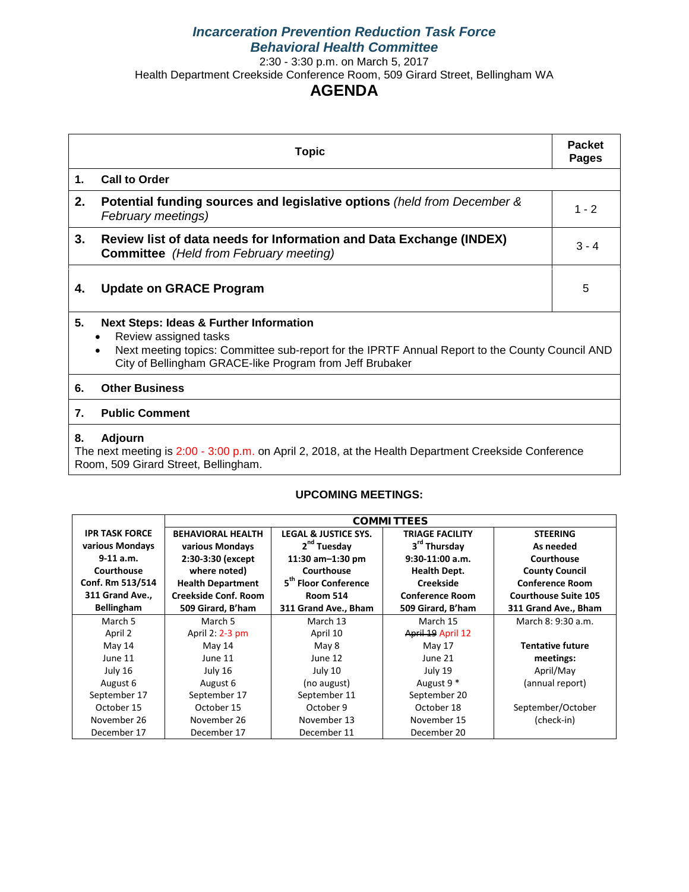# *Incarceration Prevention Reduction Task Force Behavioral Health Committee*

2:30 - 3:30 p.m. on March 5, 2017

Health Department Creekside Conference Room, 509 Girard Street, Bellingham WA

# **AGENDA**

| <b>Topic</b>                                                                                                                                                         |                                                                                                                                                                                                                                                         |         |  |  |  |  |
|----------------------------------------------------------------------------------------------------------------------------------------------------------------------|---------------------------------------------------------------------------------------------------------------------------------------------------------------------------------------------------------------------------------------------------------|---------|--|--|--|--|
| 1.                                                                                                                                                                   | <b>Call to Order</b>                                                                                                                                                                                                                                    |         |  |  |  |  |
| 2.                                                                                                                                                                   | Potential funding sources and legislative options (held from December &<br>February meetings)                                                                                                                                                           | $1 - 2$ |  |  |  |  |
| 3.                                                                                                                                                                   | Review list of data needs for Information and Data Exchange (INDEX)<br><b>Committee</b> (Held from February meeting)                                                                                                                                    | $3 - 4$ |  |  |  |  |
| 4.                                                                                                                                                                   | <b>Update on GRACE Program</b>                                                                                                                                                                                                                          | 5       |  |  |  |  |
| 5.                                                                                                                                                                   | <b>Next Steps: Ideas &amp; Further Information</b><br>Review assigned tasks<br>Next meeting topics: Committee sub-report for the IPRTF Annual Report to the County Council AND<br>$\bullet$<br>City of Bellingham GRACE-like Program from Jeff Brubaker |         |  |  |  |  |
| 6.                                                                                                                                                                   | <b>Other Business</b>                                                                                                                                                                                                                                   |         |  |  |  |  |
| <b>Public Comment</b><br>7.                                                                                                                                          |                                                                                                                                                                                                                                                         |         |  |  |  |  |
| <b>Adjourn</b><br>8.<br>The next meeting is 2:00 - 3:00 p.m. on April 2, 2018, at the Health Department Creekside Conference<br>Room, 509 Girard Street, Bellingham. |                                                                                                                                                                                                                                                         |         |  |  |  |  |

#### **UPCOMING MEETINGS:**

|                       | <b>COMMITTEES</b>        |                                  |                          |                             |
|-----------------------|--------------------------|----------------------------------|--------------------------|-----------------------------|
| <b>IPR TASK FORCE</b> | <b>BEHAVIORAL HEALTH</b> | <b>LEGAL &amp; JUSTICE SYS.</b>  | <b>TRIAGE FACILITY</b>   | <b>STEERING</b>             |
| various Mondays       | various Mondays          | 2 <sup>nd</sup> Tuesday          | 3 <sup>rd</sup> Thursday | As needed                   |
| $9-11$ a.m.           | 2:30-3:30 (except        | 11:30 am-1:30 pm                 | $9:30-11:00$ a.m.        | Courthouse                  |
| Courthouse            | where noted)             | Courthouse                       | <b>Health Dept.</b>      | <b>County Council</b>       |
| Conf. Rm 513/514      | <b>Health Department</b> | 5 <sup>th</sup> Floor Conference | <b>Creekside</b>         | <b>Conference Room</b>      |
| 311 Grand Ave.,       | Creekside Conf. Room     | <b>Room 514</b>                  | <b>Conference Room</b>   | <b>Courthouse Suite 105</b> |
| Bellingham            | 509 Girard, B'ham        | 311 Grand Ave., Bham             | 509 Girard, B'ham        | 311 Grand Ave., Bham        |
| March 5               | March 5                  | March 13                         | March 15                 | March 8: 9:30 a.m.          |
| April 2               | April 2: 2-3 pm          | April 10                         | April 19 April 12        |                             |
| May 14                | May 14                   | May 8                            | May 17                   | <b>Tentative future</b>     |
| June 11               | June 11                  | June 12                          | June 21                  | meetings:                   |
| July 16               | July 16                  | July 10                          | July 19                  | April/May                   |
| August 6              | August 6                 | (no august)                      | August 9 <sup>*</sup>    | (annual report)             |
| September 17          | September 17             | September 11                     | September 20             |                             |
| October 15            | October 15               | October 9                        | October 18               | September/October           |
| November 26           | November 26              | November 13                      | November 15              | (check-in)                  |
| December 17           | December 17              | December 11                      | December 20              |                             |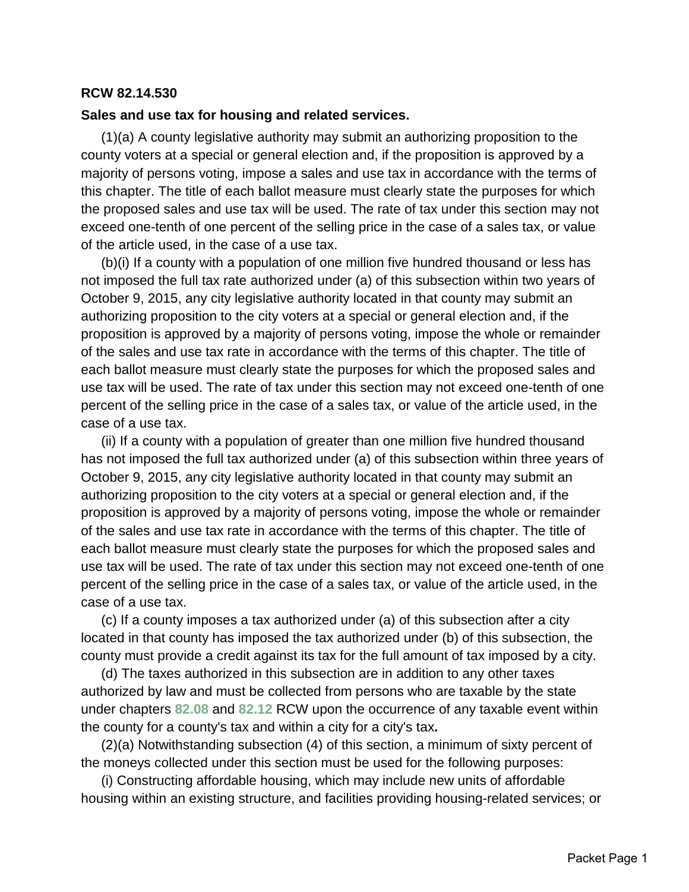### **RCW 82.14.530**

#### **Sales and use tax for housing and related services.**

(1)(a) A county legislative authority may submit an authorizing proposition to the county voters at a special or general election and, if the proposition is approved by a majority of persons voting, impose a sales and use tax in accordance with the terms of this chapter. The title of each ballot measure must clearly state the purposes for which the proposed sales and use tax will be used. The rate of tax under this section may not exceed one-tenth of one percent of the selling price in the case of a sales tax, or value of the article used, in the case of a use tax.

(b)(i) If a county with a population of one million five hundred thousand or less has not imposed the full tax rate authorized under (a) of this subsection within two years of October 9, 2015, any city legislative authority located in that county may submit an authorizing proposition to the city voters at a special or general election and, if the proposition is approved by a majority of persons voting, impose the whole or remainder of the sales and use tax rate in accordance with the terms of this chapter. The title of each ballot measure must clearly state the purposes for which the proposed sales and use tax will be used. The rate of tax under this section may not exceed one-tenth of one percent of the selling price in the case of a sales tax, or value of the article used, in the case of a use tax.

(ii) If a county with a population of greater than one million five hundred thousand has not imposed the full tax authorized under (a) of this subsection within three years of October 9, 2015, any city legislative authority located in that county may submit an authorizing proposition to the city voters at a special or general election and, if the proposition is approved by a majority of persons voting, impose the whole or remainder of the sales and use tax rate in accordance with the terms of this chapter. The title of each ballot measure must clearly state the purposes for which the proposed sales and use tax will be used. The rate of tax under this section may not exceed one-tenth of one percent of the selling price in the case of a sales tax, or value of the article used, in the case of a use tax.

(c) If a county imposes a tax authorized under (a) of this subsection after a city located in that county has imposed the tax authorized under (b) of this subsection, the county must provide a credit against its tax for the full amount of tax imposed by a city.

(d) The taxes authorized in this subsection are in addition to any other taxes authorized by law and must be collected from persons who are taxable by the state under chapters **[82.08](http://app.leg.wa.gov/RCW/default.aspx?cite=82.08)** and **[82.12](http://app.leg.wa.gov/RCW/default.aspx?cite=82.12)** RCW upon the occurrence of any taxable event within the county for a county's tax and within a city for a city's tax**.**

(2)(a) Notwithstanding subsection (4) of this section, a minimum of sixty percent of the moneys collected under this section must be used for the following purposes:

(i) Constructing affordable housing, which may include new units of affordable housing within an existing structure, and facilities providing housing-related services; or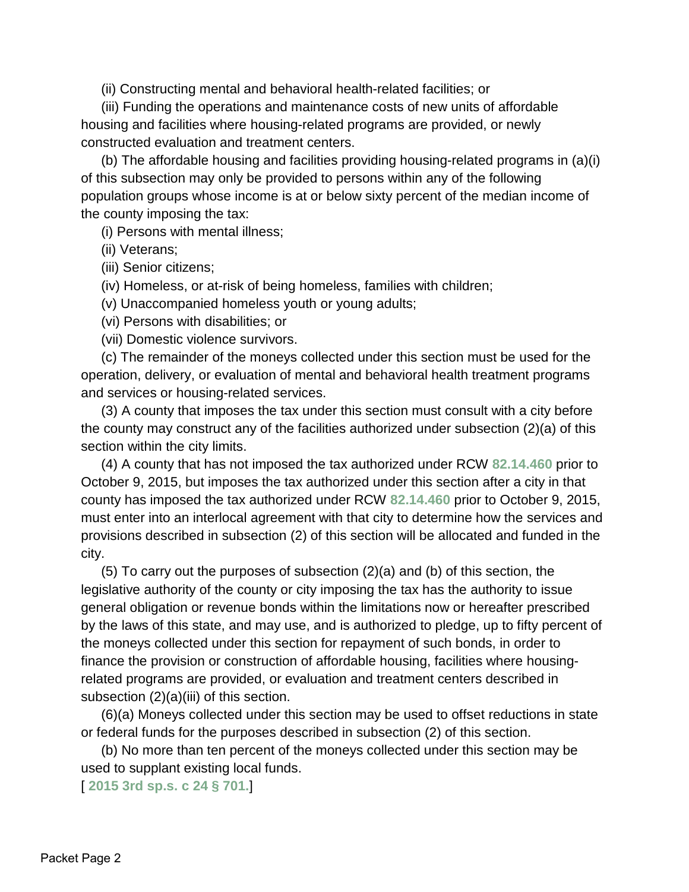(ii) Constructing mental and behavioral health-related facilities; or

(iii) Funding the operations and maintenance costs of new units of affordable housing and facilities where housing-related programs are provided, or newly constructed evaluation and treatment centers.

(b) The affordable housing and facilities providing housing-related programs in (a)(i) of this subsection may only be provided to persons within any of the following population groups whose income is at or below sixty percent of the median income of the county imposing the tax:

(i) Persons with mental illness;

(ii) Veterans;

(iii) Senior citizens;

(iv) Homeless, or at-risk of being homeless, families with children;

(v) Unaccompanied homeless youth or young adults;

(vi) Persons with disabilities; or

(vii) Domestic violence survivors.

(c) The remainder of the moneys collected under this section must be used for the operation, delivery, or evaluation of mental and behavioral health treatment programs and services or housing-related services.

(3) A county that imposes the tax under this section must consult with a city before the county may construct any of the facilities authorized under subsection (2)(a) of this section within the city limits.

(4) A county that has not imposed the tax authorized under RCW **[82.14.460](http://app.leg.wa.gov/RCW/default.aspx?cite=82.14.460)** prior to October 9, 2015, but imposes the tax authorized under this section after a city in that county has imposed the tax authorized under RCW **[82.14.460](http://app.leg.wa.gov/RCW/default.aspx?cite=82.14.460)** prior to October 9, 2015, must enter into an interlocal agreement with that city to determine how the services and provisions described in subsection (2) of this section will be allocated and funded in the city.

(5) To carry out the purposes of subsection (2)(a) and (b) of this section, the legislative authority of the county or city imposing the tax has the authority to issue general obligation or revenue bonds within the limitations now or hereafter prescribed by the laws of this state, and may use, and is authorized to pledge, up to fifty percent of the moneys collected under this section for repayment of such bonds, in order to finance the provision or construction of affordable housing, facilities where housingrelated programs are provided, or evaluation and treatment centers described in subsection (2)(a)(iii) of this section.

(6)(a) Moneys collected under this section may be used to offset reductions in state or federal funds for the purposes described in subsection (2) of this section.

(b) No more than ten percent of the moneys collected under this section may be used to supplant existing local funds.

[ **[2015 3rd sp.s. c 24 § 701.](http://lawfilesext.leg.wa.gov/biennium/2015-16/Pdf/Bills/Session%20Laws/House/2263-S.SL.pdf?cite=2015%203rd%20sp.s.%20c%2024%20%C2%A7%20701.)**]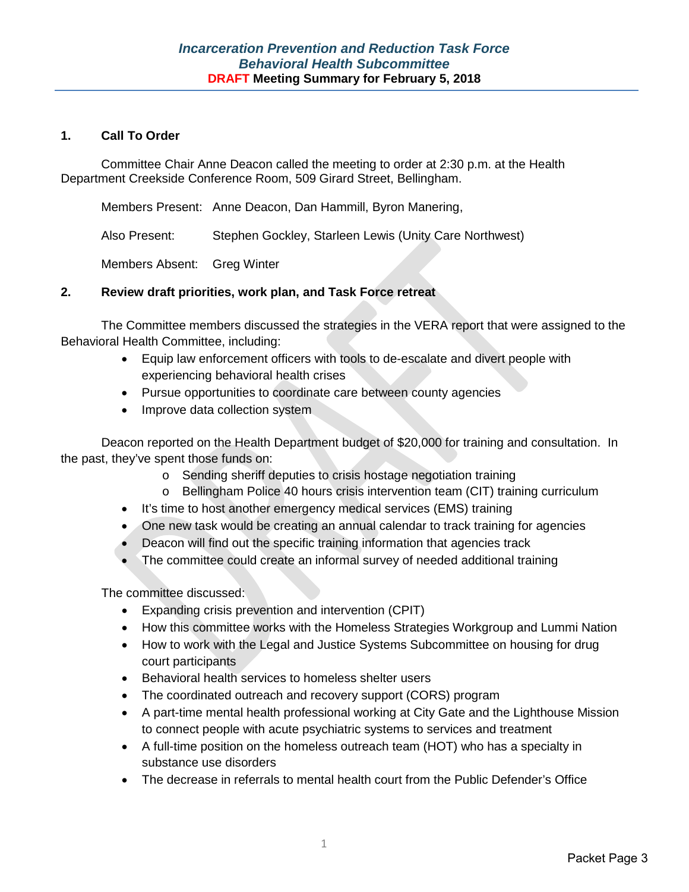#### **1. Call To Order**

Committee Chair Anne Deacon called the meeting to order at 2:30 p.m. at the Health Department Creekside Conference Room, 509 Girard Street, Bellingham.

Members Present: Anne Deacon, Dan Hammill, Byron Manering,

Also Present: Stephen Gockley, Starleen Lewis (Unity Care Northwest)

Members Absent: Greg Winter

### **2. Review draft priorities, work plan, and Task Force retreat**

The Committee members discussed the strategies in the VERA report that were assigned to the Behavioral Health Committee, including:

- Equip law enforcement officers with tools to de-escalate and divert people with experiencing behavioral health crises
- Pursue opportunities to coordinate care between county agencies
- Improve data collection system

Deacon reported on the Health Department budget of \$20,000 for training and consultation. In the past, they've spent those funds on:

- o Sending sheriff deputies to crisis hostage negotiation training
- o Bellingham Police 40 hours crisis intervention team (CIT) training curriculum
- It's time to host another emergency medical services (EMS) training
- One new task would be creating an annual calendar to track training for agencies
- Deacon will find out the specific training information that agencies track
- The committee could create an informal survey of needed additional training

The committee discussed:

- Expanding crisis prevention and intervention (CPIT)
- How this committee works with the Homeless Strategies Workgroup and Lummi Nation
- How to work with the Legal and Justice Systems Subcommittee on housing for drug court participants
- Behavioral health services to homeless shelter users
- The coordinated outreach and recovery support (CORS) program
- A part-time mental health professional working at City Gate and the Lighthouse Mission to connect people with acute psychiatric systems to services and treatment
- A full-time position on the homeless outreach team (HOT) who has a specialty in substance use disorders
- The decrease in referrals to mental health court from the Public Defender's Office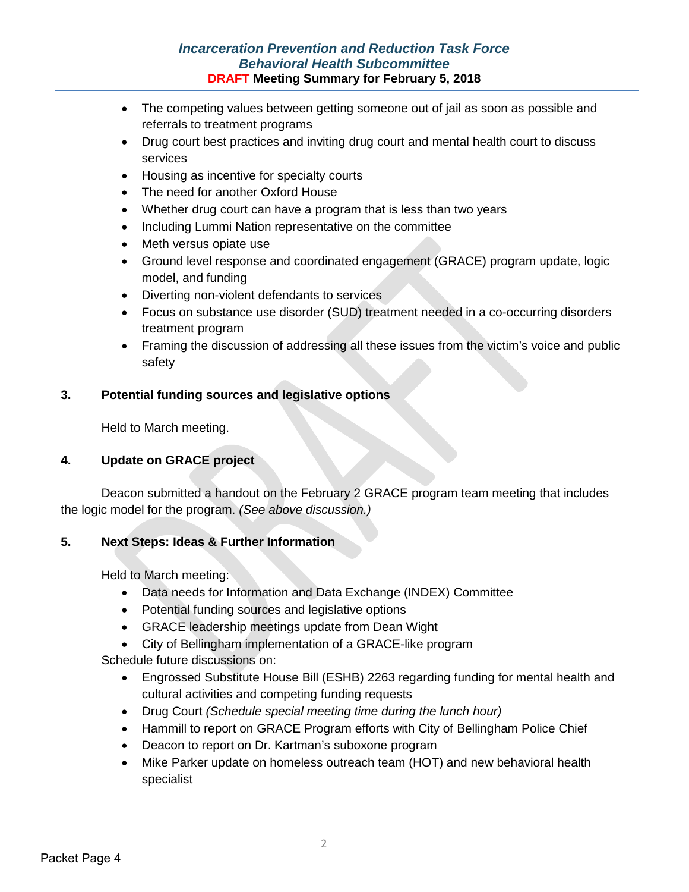# *Incarceration Prevention and Reduction Task Force Behavioral Health Subcommittee* **DRAFT Meeting Summary for February 5, 2018**

- The competing values between getting someone out of jail as soon as possible and referrals to treatment programs
- Drug court best practices and inviting drug court and mental health court to discuss services
- Housing as incentive for specialty courts
- The need for another Oxford House
- Whether drug court can have a program that is less than two years
- Including Lummi Nation representative on the committee
- Meth versus opiate use
- Ground level response and coordinated engagement (GRACE) program update, logic model, and funding
- Diverting non-violent defendants to services
- Focus on substance use disorder (SUD) treatment needed in a co-occurring disorders treatment program
- Framing the discussion of addressing all these issues from the victim's voice and public safety

### **3. Potential funding sources and legislative options**

Held to March meeting.

#### **4. Update on GRACE project**

Deacon submitted a handout on the February 2 GRACE program team meeting that includes the logic model for the program. *(See above discussion.)*

#### **5. Next Steps: Ideas & Further Information**

Held to March meeting:

- Data needs for Information and Data Exchange (INDEX) Committee
- Potential funding sources and legislative options
- GRACE leadership meetings update from Dean Wight
- City of Bellingham implementation of a GRACE-like program

Schedule future discussions on:

- Engrossed Substitute House Bill (ESHB) 2263 regarding funding for mental health and cultural activities and competing funding requests
- Drug Court *(Schedule special meeting time during the lunch hour)*
- Hammill to report on GRACE Program efforts with City of Bellingham Police Chief
- Deacon to report on Dr. Kartman's suboxone program
- Mike Parker update on homeless outreach team (HOT) and new behavioral health specialist